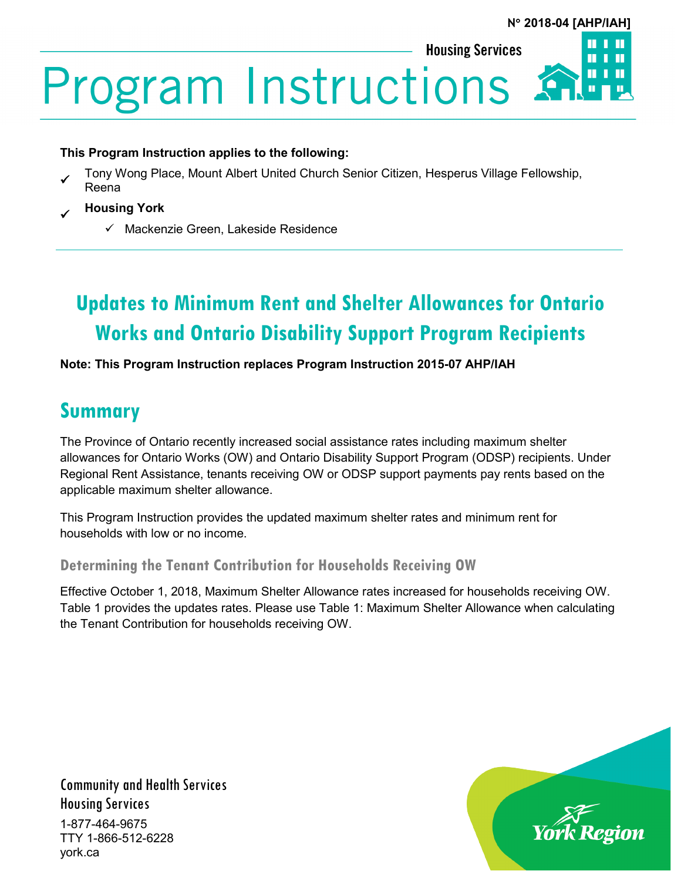# **N**° **2018-04 [AHP/IAH]**

**Housing Services** 

**Program Instructions** 

#### **This Program Instruction applies to the following:**

- Tony Wong Place, Mount Albert United Church Senior Citizen, Hesperus Village Fellowship, Reena
- **Housing York**
	- $\checkmark$  Mackenzie Green, Lakeside Residence

# **Updates to Minimum Rent and Shelter Allowances for Ontario Works and Ontario Disability Support Program Recipients**

**Note: This Program Instruction replaces Program Instruction 2015-07 AHP/IAH**

# **Summary**

The Province of Ontario recently increased social assistance rates including maximum shelter allowances for Ontario Works (OW) and Ontario Disability Support Program (ODSP) recipients. Under Regional Rent Assistance, tenants receiving OW or ODSP support payments pay rents based on the applicable maximum shelter allowance.

This Program Instruction provides the updated maximum shelter rates and minimum rent for households with low or no income.

**Determining the Tenant Contribution for Households Receiving OW**

Effective October 1, 2018, Maximum Shelter Allowance rates increased for households receiving OW. Table 1 provides the updates rates. Please use Table 1: Maximum Shelter Allowance when calculating the Tenant Contribution for households receiving OW.

Community and Health Services Housing Services 1-877-464-9675 TTY 1-866-512-6228 york.ca

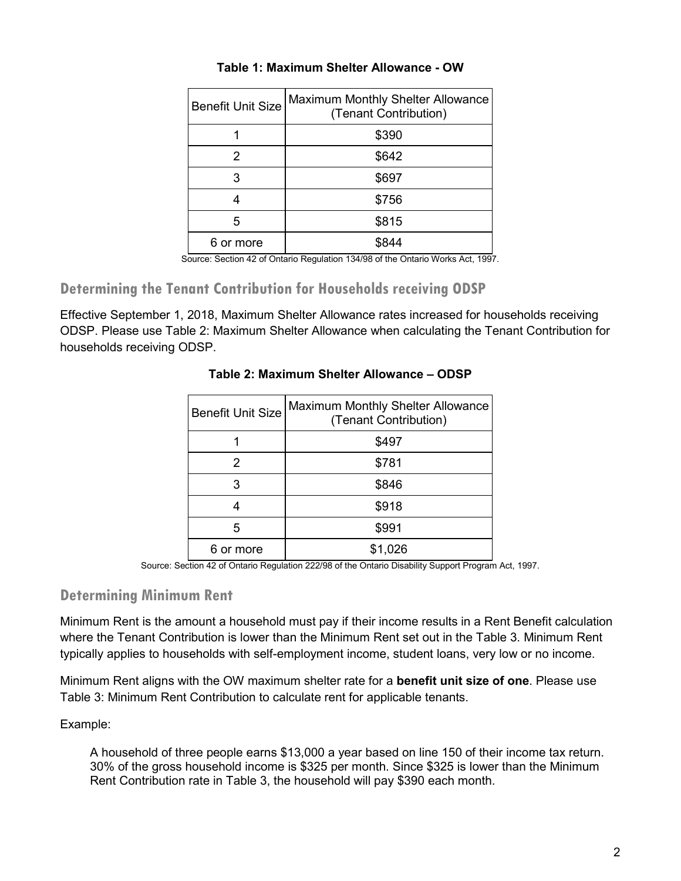| <b>Benefit Unit Size</b> | Maximum Monthly Shelter Allowance<br>(Tenant Contribution) |
|--------------------------|------------------------------------------------------------|
|                          | \$390                                                      |
|                          | \$642                                                      |
| 3                        | \$697                                                      |
|                          | \$756                                                      |
| 5                        | \$815                                                      |
| 6 or more                |                                                            |

#### **Table 1: Maximum Shelter Allowance - OW**

Source: Section 42 of Ontario Regulation 134/98 of the Ontario Works Act, 1997.

# **Determining the Tenant Contribution for Households receiving ODSP**

Effective September 1, 2018, Maximum Shelter Allowance rates increased for households receiving ODSP. Please use Table 2: Maximum Shelter Allowance when calculating the Tenant Contribution for households receiving ODSP.

| <b>Benefit Unit Size</b> | Maximum Monthly Shelter Allowance<br>(Tenant Contribution) |
|--------------------------|------------------------------------------------------------|
|                          | \$497                                                      |
| 2                        | \$781                                                      |
| 3                        | \$846                                                      |
|                          | \$918                                                      |
| 5                        | \$991                                                      |
| 6 or more                | \$1,026                                                    |

#### **Table 2: Maximum Shelter Allowance – ODSP**

Source: Section 42 of Ontario Regulation 222/98 of the Ontario Disability Support Program Act, 1997.

# **Determining Minimum Rent**

Minimum Rent is the amount a household must pay if their income results in a Rent Benefit calculation where the Tenant Contribution is lower than the Minimum Rent set out in the Table 3. Minimum Rent typically applies to households with self-employment income, student loans, very low or no income.

Minimum Rent aligns with the OW maximum shelter rate for a **benefit unit size of one**. Please use Table 3: Minimum Rent Contribution to calculate rent for applicable tenants.

Example:

A household of three people earns \$13,000 a year based on line 150 of their income tax return. 30% of the gross household income is \$325 per month. Since \$325 is lower than the Minimum Rent Contribution rate in Table 3, the household will pay \$390 each month.